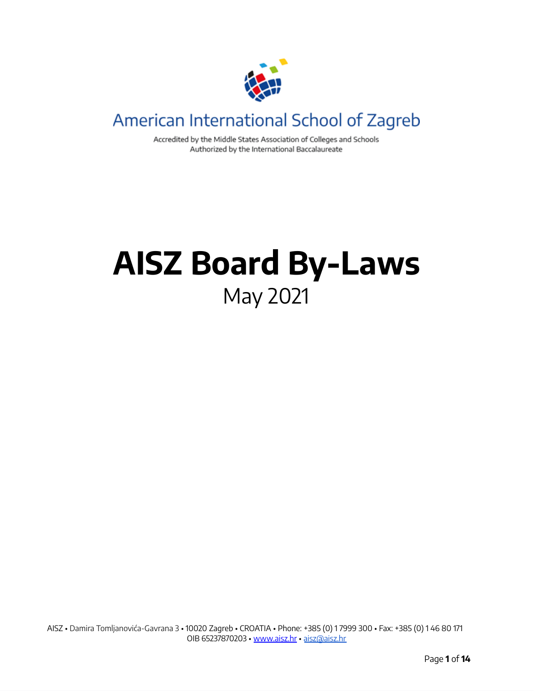

# American International School of Zagreb

Accredited by the Middle States Association of Colleges and Schools Authorized by the International Baccalaureate

# **AISZ Board By-Laws** May 2021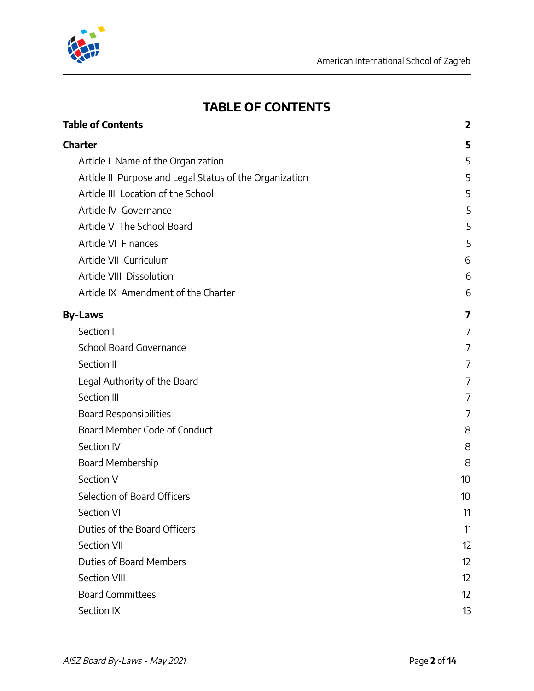

# **TABLE OF CONTENTS**

<span id="page-1-0"></span>

| <b>Table of Contents</b>                                | $\mathbf{2}$    |
|---------------------------------------------------------|-----------------|
| <b>Charter</b>                                          | 5               |
| Article I Name of the Organization                      | 5               |
| Article II Purpose and Legal Status of the Organization | 5               |
| Article III Location of the School                      | 5               |
| Article IV Governance                                   | 5               |
| Article V The School Board                              | 5               |
| Article VI Finances                                     | 5               |
| Article VII Curriculum                                  | 6               |
| Article VIII Dissolution                                | 6               |
| Article IX Amendment of the Charter                     | 6               |
| <b>By-Laws</b>                                          | 7               |
| Section I                                               | 7               |
| School Board Governance                                 | 7               |
| Section II                                              | 7               |
| Legal Authority of the Board                            | 7               |
| Section III                                             | 7               |
| <b>Board Responsibilities</b>                           | 7               |
| Board Member Code of Conduct                            | 8               |
| Section IV                                              | 8               |
| Board Membership                                        | 8               |
| Section V                                               | 10 <sup>°</sup> |
| Selection of Board Officers                             | 10              |
| <b>Section VI</b>                                       | 11              |
| Duties of the Board Officers                            | 11              |
| Section VII                                             | 12              |
| <b>Duties of Board Members</b>                          | 12              |
| Section VIII                                            | 12              |
| <b>Board Committees</b>                                 | 12              |
| Section IX                                              | 13              |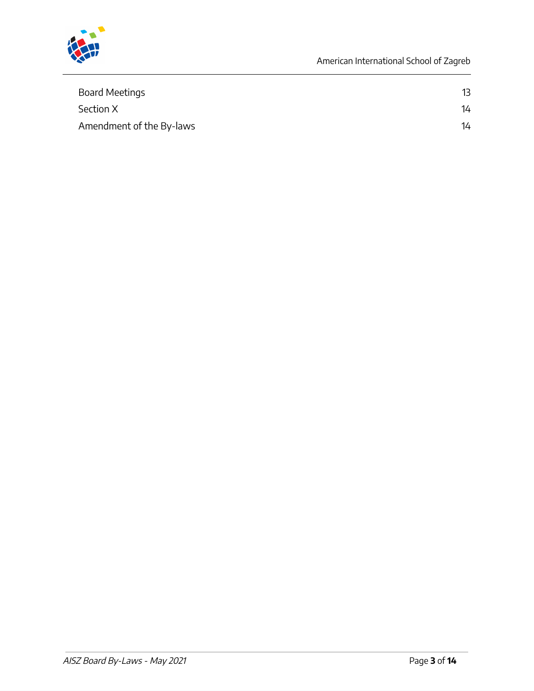

| Board Meetings           | 13 |
|--------------------------|----|
| Section X                | 14 |
| Amendment of the By-laws | 14 |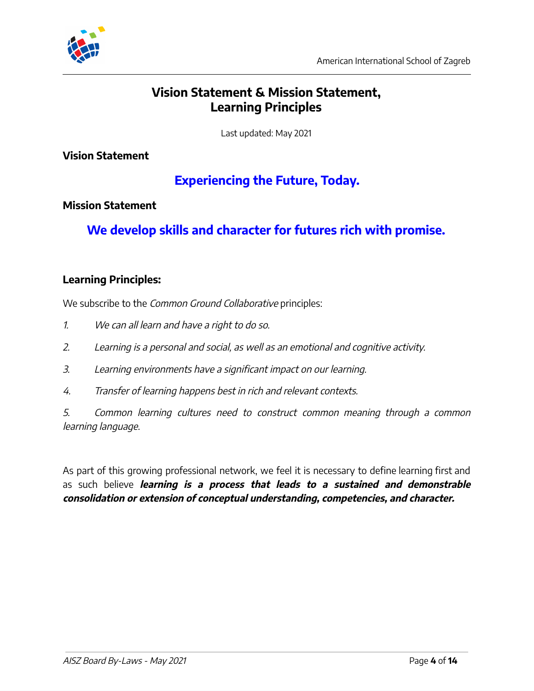

# **Vision Statement & Mission Statement, Learning Principles**

Last updated: May 2021

**Vision Statement**

# **Experiencing the Future, Today.**

#### **Mission Statement**

**We develop skills and character for futures rich with promise.**

#### **Learning Principles:**

We subscribe to the *Common Ground Collaborative* principles:

- 1. We can all learn and have <sup>a</sup> right to do so.
- 2. Learning is <sup>a</sup> personal and social, as well as an emotional and cognitive activity.
- 3. Learning environments have <sup>a</sup> significant impact on our learning.
- 4. Transfer of learning happens best in rich and relevant contexts.

5. Common learning cultures need to construct common meaning through <sup>a</sup> common learning language.

As part of this growing professional network, we feel it is necessary to define learning first and as such believe **learning is <sup>a</sup> process that leads to <sup>a</sup> sustained and demonstrable consolidation or extension of conceptual understanding, competencies, and character.**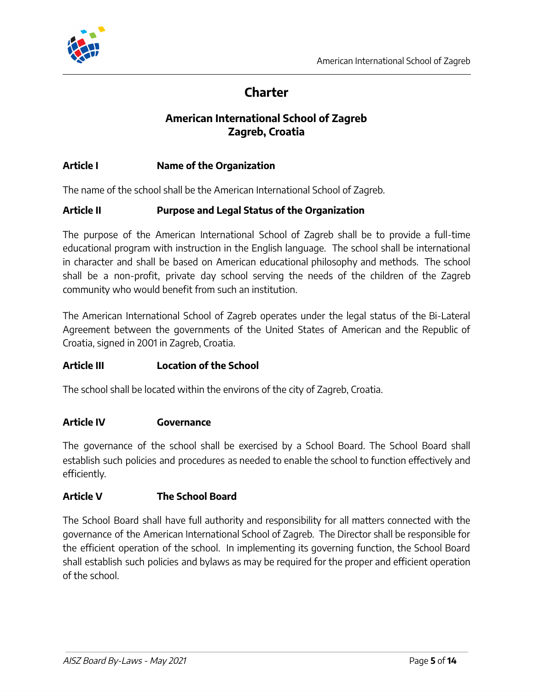

# **Charter**

#### **American International School of Zagreb Zagreb, Croatia**

#### **Article I Name of the Organization**

The name of the school shall be the American International School of Zagreb.

#### **Article II Purpose and Legal Status of the Organization**

The purpose of the American International School of Zagreb shall be to provide a full-time educational program with instruction in the English language. The school shall be international in character and shall be based on American educational philosophy and methods. The school shall be a non-profit, private day school serving the needs of the children of the Zagreb community who would benefit from such an institution.

The American International School of Zagreb operates under the legal status of the Bi-Lateral Agreement between the governments of the United States of American and the Republic of Croatia, signed in 2001 in Zagreb, Croatia.

#### **Article III Location of the School**

The school shall be located within the environs of the city of Zagreb, Croatia.

#### **Article IV Governance**

The governance of the school shall be exercised by a School Board. The School Board shall establish such policies and procedures as needed to enable the school to function effectively and efficiently.

#### **Article V The School Board**

The School Board shall have full authority and responsibility for all matters connected with the governance of the American International School of Zagreb. The Director shall be responsible for the efficient operation of the school. In implementing its governing function, the School Board shall establish such policies and bylaws as may be required for the proper and efficient operation of the school.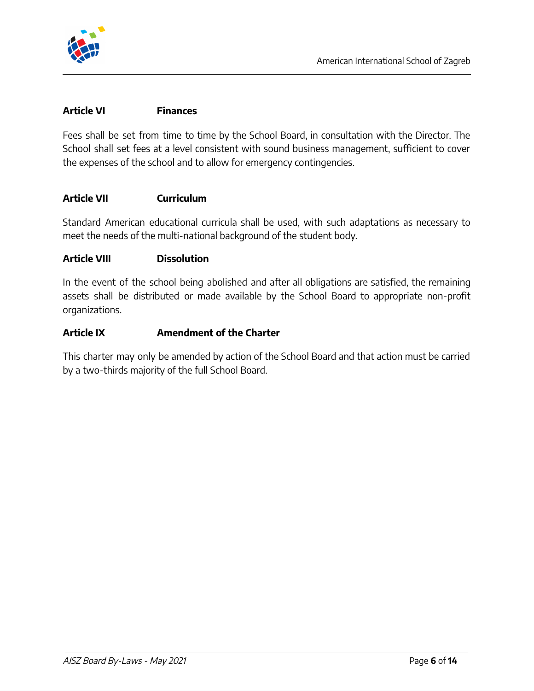

#### **Article VI Finances**

Fees shall be set from time to time by the School Board, in consultation with the Director. The School shall set fees at a level consistent with sound business management, sufficient to cover the expenses of the school and to allow for emergency contingencies.

#### **Article VII Curriculum**

Standard American educational curricula shall be used, with such adaptations as necessary to meet the needs of the multi-national background of the student body.

#### **Article VIII Dissolution**

In the event of the school being abolished and after all obligations are satisfied, the remaining assets shall be distributed or made available by the School Board to appropriate non-profit organizations.

#### **Article IX Amendment of the Charter**

This charter may only be amended by action of the School Board and that action must be carried by a two-thirds majority of the full School Board.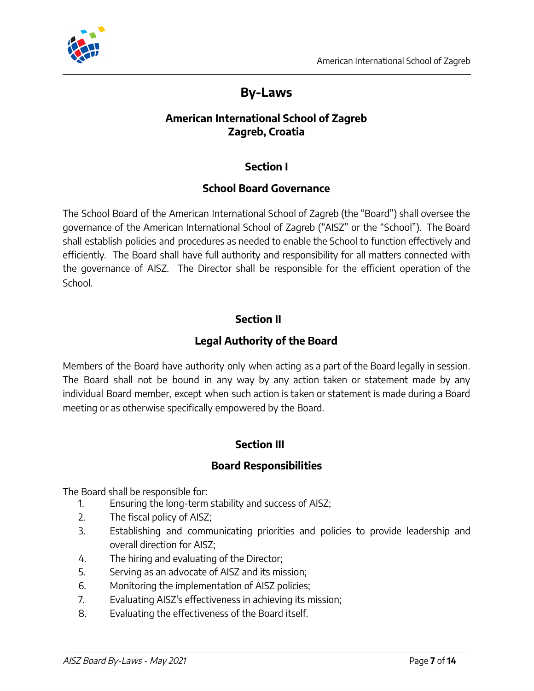

# **By-Laws**

#### **American International School of Zagreb Zagreb, Croatia**

#### **Section I**

#### **School Board Governance**

The School Board of the American International School of Zagreb (the "Board") shall oversee the governance of the American International School of Zagreb ("AISZ" or the "School"). The Board shall establish policies and procedures as needed to enable the School to function effectively and efficiently. The Board shall have full authority and responsibility for all matters connected with the governance of AISZ. The Director shall be responsible for the efficient operation of the School.

#### **Section II**

#### **Legal Authority of the Board**

Members of the Board have authority only when acting as a part of the Board legally in session. The Board shall not be bound in any way by any action taken or statement made by any individual Board member, except when such action is taken or statement is made during a Board meeting or as otherwise specifically empowered by the Board.

#### **Section III**

#### **Board Responsibilities**

The Board shall be responsible for:

- 1. Ensuring the long-term stability and success of AISZ;
- 2. The fiscal policy of AISZ;
- 3. Establishing and communicating priorities and policies to provide leadership and overall direction for AISZ;
- 4. The hiring and evaluating of the Director;
- 5. Serving as an advocate of AISZ and its mission;
- 6. Monitoring the implementation of AISZ policies;
- 7. Evaluating AISZ's effectiveness in achieving its mission;
- 8. Evaluating the effectiveness of the Board itself.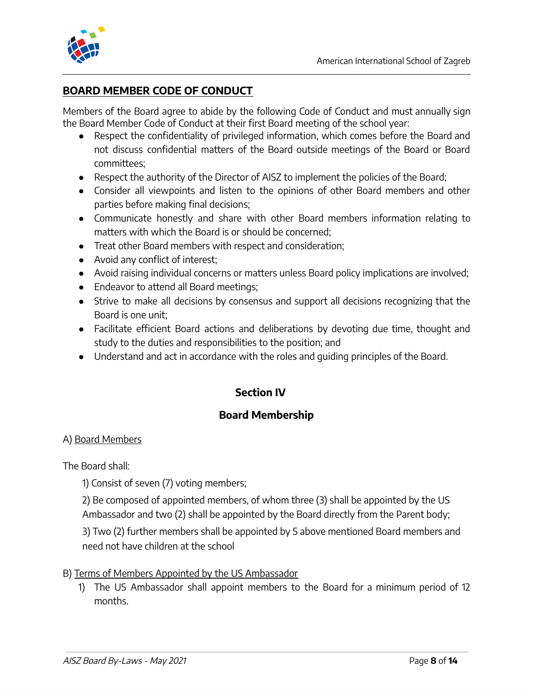

#### **BOARD MEMBER CODE OF CONDUCT**

Members of the Board agree to abide by the following Code of Conduct and must annually sign the Board Member Code of Conduct at their first Board meeting of the school year:

- Respect the confidentiality of privileged information, which comes before the Board and not discuss confidential matters of the Board outside meetings of the Board or Board committees;
- Respect the authority of the Director of AISZ to implement the policies of the Board;
- Consider all viewpoints and listen to the opinions of other Board members and other parties before making final decisions;
- Communicate honestly and share with other Board members information relating to matters with which the Board is or should be concerned;
- Treat other Board members with respect and consideration;
- Avoid any conflict of interest;
- Avoid raising individual concerns or matters unless Board policy implications are involved;
- Endeavor to attend all Board meetings;
- Strive to make all decisions by consensus and support all decisions recognizing that the Board is one unit;
- Facilitate efficient Board actions and deliberations by devoting due time, thought and study to the duties and responsibilities to the position; and
- Understand and act in accordance with the roles and guiding principles of the Board.

#### **Section IV**

#### **Board Membership**

#### A) Board Members

The Board shall:

1) Consist of seven (7) voting members;

2) Be composed of appointed members, of whom three (3) shall be appointed by the US Ambassador and two (2) shall be appointed by the Board directly from the Parent body;

3) Two (2) further members shall be appointed by 5 above mentioned Board members and need not have children at the school

#### B) Terms of Members Appointed by the US Ambassador

1) The US Ambassador shall appoint members to the Board for a minimum period of 12 months.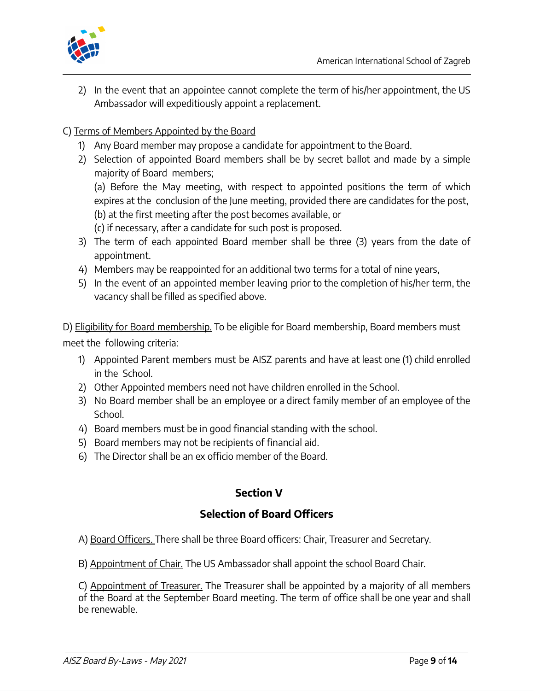

2) In the event that an appointee cannot complete the term of his/her appointment, the US Ambassador will expeditiously appoint a replacement.

#### C) Terms of Members Appointed by the Board

- 1) Any Board member may propose a candidate for appointment to the Board.
- 2) Selection of appointed Board members shall be by secret ballot and made by a simple majority of Board members;

(a) Before the May meeting, with respect to appointed positions the term of which expires at the conclusion of the June meeting, provided there are candidates for the post, (b) at the first meeting after the post becomes available, or

- (c) if necessary, after a candidate for such post is proposed.
- 3) The term of each appointed Board member shall be three (3) years from the date of appointment.
- 4) Members may be reappointed for an additional two terms for a total of nine years,
- 5) In the event of an appointed member leaving prior to the completion of his/her term, the vacancy shall be filled as specified above.

D) Eligibility for Board membership. To be eligible for Board membership, Board members must meet the following criteria:

- 1) Appointed Parent members must be AISZ parents and have at least one (1) child enrolled in the School.
- 2) Other Appointed members need not have children enrolled in the School.
- 3) No Board member shall be an employee or a direct family member of an employee of the School.
- 4) Board members must be in good financial standing with the school.
- 5) Board members may not be recipients of financial aid.
- 6) The Director shall be an ex officio member of the Board.

#### **Section V**

#### **Selection of Board Officers**

A) Board Officers. There shall be three Board officers: Chair, Treasurer and Secretary.

B) Appointment of Chair. The US Ambassador shall appoint the school Board Chair.

C) Appointment of Treasurer. The Treasurer shall be appointed by a majority of all members of the Board at the September Board meeting. The term of office shall be one year and shall be renewable.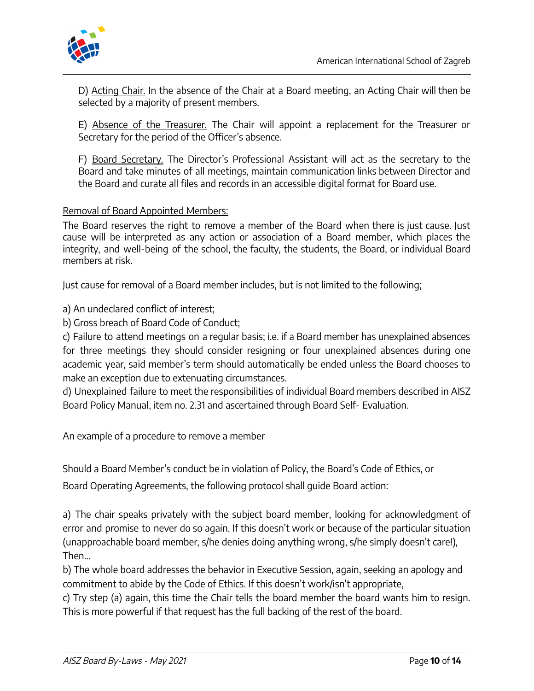

D) Acting Chair. In the absence of the Chair at a Board meeting, an Acting Chair will then be selected by a majority of present members.

E) Absence of the Treasurer. The Chair will appoint a replacement for the Treasurer or Secretary for the period of the Officer's absence.

F) Board Secretary. The Director's Professional Assistant will act as the secretary to the Board and take minutes of all meetings, maintain communication links between Director and the Board and curate all files and records in an accessible digital format for Board use.

#### Removal of Board Appointed Members:

The Board reserves the right to remove a member of the Board when there is just cause. Just cause will be interpreted as any action or association of a Board member, which places the integrity, and well-being of the school, the faculty, the students, the Board, or individual Board members at risk.

Just cause for removal of a Board member includes, but is not limited to the following;

a) An undeclared conflict of interest;

b) Gross breach of Board Code of Conduct;

c) Failure to attend meetings on a regular basis; i.e. if a Board member has unexplained absences for three meetings they should consider resigning or four unexplained absences during one academic year, said member's term should automatically be ended unless the Board chooses to make an exception due to extenuating circumstances.

d) Unexplained failure to meet the responsibilities of individual Board members described in AISZ Board Policy Manual, item no. 2.31 and ascertained through Board Self- Evaluation.

An example of a procedure to remove a member

Should a Board Member's conduct be in violation of Policy, the Board's Code of Ethics, or

Board Operating Agreements, the following protocol shall guide Board action:

a) The chair speaks privately with the subject board member, looking for acknowledgment of error and promise to never do so again. If this doesn't work or because of the particular situation (unapproachable board member, s/he denies doing anything wrong, s/he simply doesn't care!), Then…

b) The whole board addresses the behavior in Executive Session, again, seeking an apology and commitment to abide by the Code of Ethics. If this doesn't work/isn't appropriate,

c) Try step (a) again, this time the Chair tells the board member the board wants him to resign. This is more powerful if that request has the full backing of the rest of the board.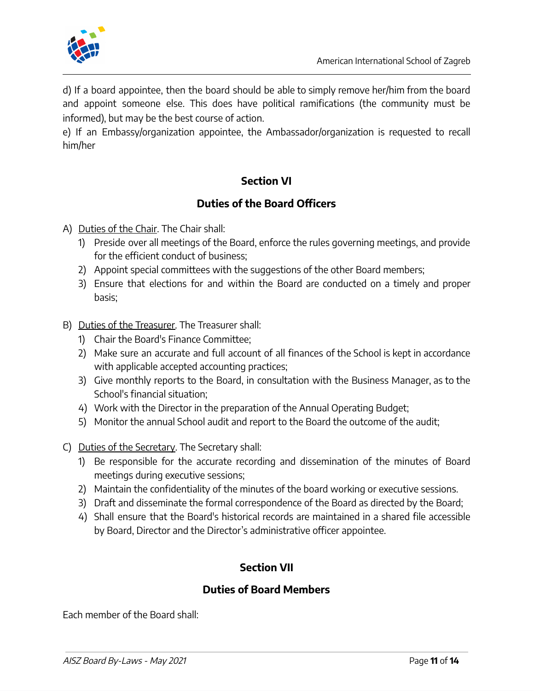

d) If a board appointee, then the board should be able to simply remove her/him from the board and appoint someone else. This does have political ramifications (the community must be informed), but may be the best course of action.

e) If an Embassy/organization appointee, the Ambassador/organization is requested to recall him/her

#### **Section VI**

#### **Duties of the Board Officers**

- A) Duties of the Chair. The Chair shall:
	- 1) Preside over all meetings of the Board, enforce the rules governing meetings, and provide for the efficient conduct of business;
	- 2) Appoint special committees with the suggestions of the other Board members;
	- 3) Ensure that elections for and within the Board are conducted on a timely and proper basis;
- B) Duties of the Treasurer. The Treasurer shall:
	- 1) Chair the Board's Finance Committee;
	- 2) Make sure an accurate and full account of all finances of the School is kept in accordance with applicable accepted accounting practices;
	- 3) Give monthly reports to the Board, in consultation with the Business Manager, as to the School's financial situation;
	- 4) Work with the Director in the preparation of the Annual Operating Budget;
	- 5) Monitor the annual School audit and report to the Board the outcome of the audit;
- C) Duties of the Secretary. The Secretary shall:
	- 1) Be responsible for the accurate recording and dissemination of the minutes of Board meetings during executive sessions;
	- 2) Maintain the confidentiality of the minutes of the board working or executive sessions.
	- 3) Draft and disseminate the formal correspondence of the Board as directed by the Board;
	- 4) Shall ensure that the Board's historical records are maintained in a shared file accessible by Board, Director and the Director's administrative officer appointee.

#### **Section VII**

#### **Duties of Board Members**

Each member of the Board shall: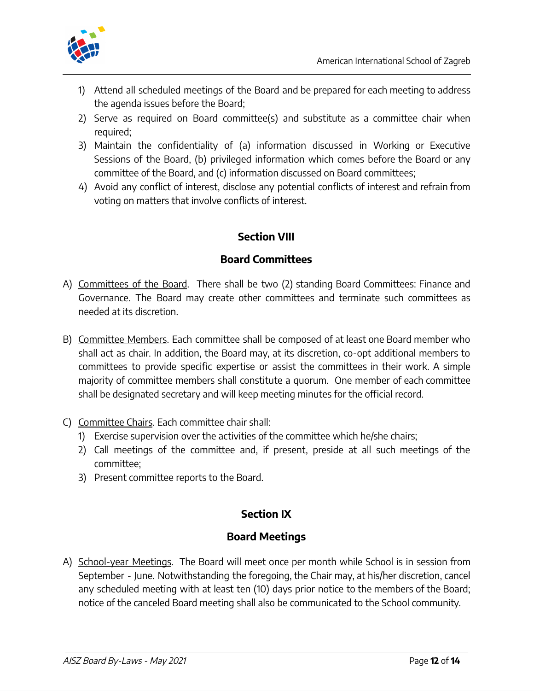

- 1) Attend all scheduled meetings of the Board and be prepared for each meeting to address the agenda issues before the Board;
- 2) Serve as required on Board committee(s) and substitute as a committee chair when required;
- 3) Maintain the confidentiality of (a) information discussed in Working or Executive Sessions of the Board, (b) privileged information which comes before the Board or any committee of the Board, and (c) information discussed on Board committees;
- 4) Avoid any conflict of interest, disclose any potential conflicts of interest and refrain from voting on matters that involve conflicts of interest.

# **Section VIII**

#### **Board Committees**

- A) Committees of the Board. There shall be two (2) standing Board Committees: Finance and Governance. The Board may create other committees and terminate such committees as needed at its discretion.
- B) Committee Members. Each committee shall be composed of at least one Board member who shall act as chair. In addition, the Board may, at its discretion, co-opt additional members to committees to provide specific expertise or assist the committees in their work. A simple majority of committee members shall constitute a quorum. One member of each committee shall be designated secretary and will keep meeting minutes for the official record.
- C) Committee Chairs. Each committee chair shall:
	- 1) Exercise supervision over the activities of the committee which he/she chairs;
	- 2) Call meetings of the committee and, if present, preside at all such meetings of the committee;
	- 3) Present committee reports to the Board.

# **Section IX**

#### **Board Meetings**

A) School-year Meetings. The Board will meet once per month while School is in session from September - June. Notwithstanding the foregoing, the Chair may, at his/her discretion, cancel any scheduled meeting with at least ten (10) days prior notice to the members of the Board; notice of the canceled Board meeting shall also be communicated to the School community.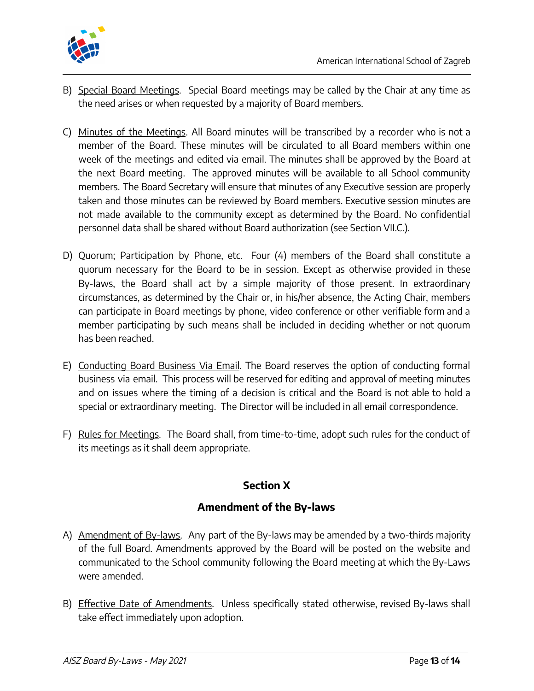



- B) Special Board Meetings. Special Board meetings may be called by the Chair at any time as the need arises or when requested by a majority of Board members.
- C) Minutes of the Meetings. All Board minutes will be transcribed by a recorder who is not a member of the Board. These minutes will be circulated to all Board members within one week of the meetings and edited via email. The minutes shall be approved by the Board at the next Board meeting. The approved minutes will be available to all School community members. The Board Secretary will ensure that minutes of any Executive session are properly taken and those minutes can be reviewed by Board members. Executive session minutes are not made available to the community except as determined by the Board. No confidential personnel data shall be shared without Board authorization (see Section VII.C.).
- D) Quorum; Participation by Phone, etc. Four (4) members of the Board shall constitute a quorum necessary for the Board to be in session. Except as otherwise provided in these By-laws, the Board shall act by a simple majority of those present. In extraordinary circumstances, as determined by the Chair or, in his/her absence, the Acting Chair, members can participate in Board meetings by phone, video conference or other verifiable form and a member participating by such means shall be included in deciding whether or not quorum has been reached.
- E) Conducting Board Business Via Email. The Board reserves the option of conducting formal business via email. This process will be reserved for editing and approval of meeting minutes and on issues where the timing of a decision is critical and the Board is not able to hold a special or extraordinary meeting. The Director will be included in all email correspondence.
- F) Rules for Meetings. The Board shall, from time-to-time, adopt such rules for the conduct of its meetings as it shall deem appropriate.

#### **Section X**

#### **Amendment of the By-laws**

- A) Amendment of By-laws. Any part of the By-laws may be amended by a two-thirds majority of the full Board. Amendments approved by the Board will be posted on the website and communicated to the School community following the Board meeting at which the By-Laws were amended.
- B) Effective Date of Amendments. Unless specifically stated otherwise, revised By-laws shall take effect immediately upon adoption.